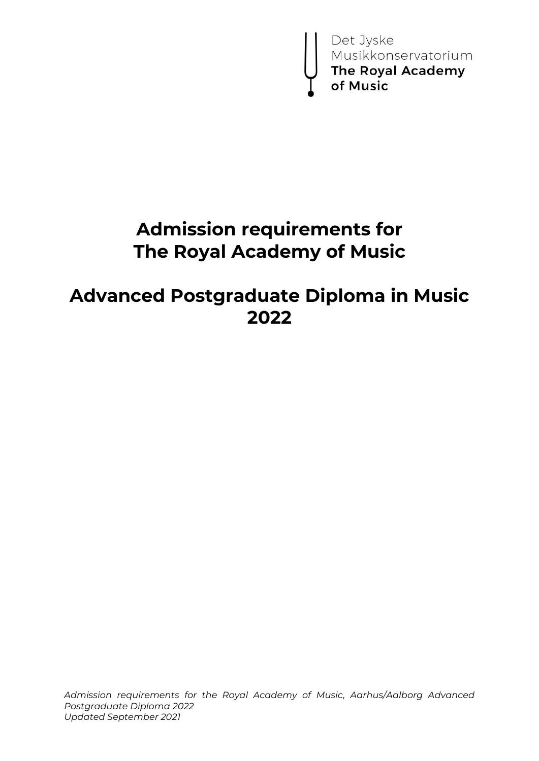

# **Admission requirements for The Royal Academy of Music**

# **Advanced Postgraduate Diploma in Music 2022**

*Admission requirements for the Royal Academy of Music, Aarhus/Aalborg Advanced Postgraduate Diploma 2022 Updated September 2021*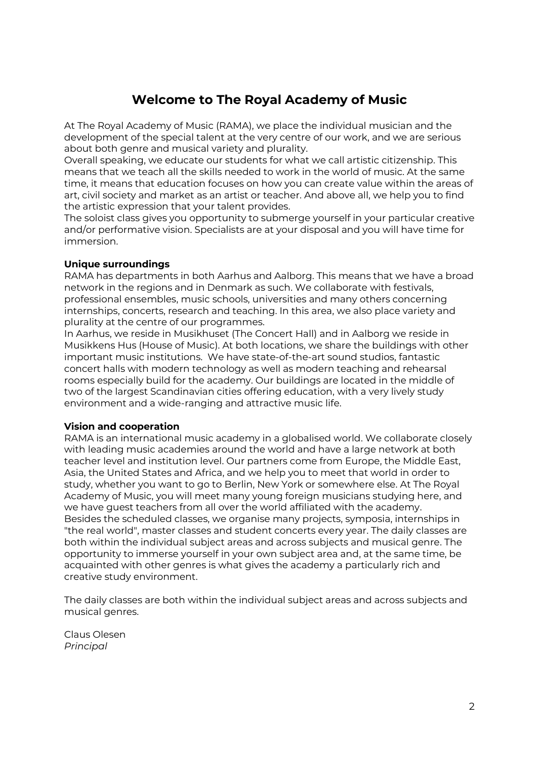## **Welcome to The Royal Academy of Music**

At The Royal Academy of Music (RAMA), we place the individual musician and the development of the special talent at the very centre of our work, and we are serious about both genre and musical variety and plurality.

Overall speaking, we educate our students for what we call artistic citizenship. This means that we teach all the skills needed to work in the world of music. At the same time, it means that education focuses on how you can create value within the areas of art, civil society and market as an artist or teacher. And above all, we help you to find the artistic expression that your talent provides.

The soloist class gives you opportunity to submerge yourself in your particular creative and/or performative vision. Specialists are at your disposal and you will have time for immersion.

#### **Unique surroundings**

RAMA has departments in both Aarhus and Aalborg. This means that we have a broad network in the regions and in Denmark as such. We collaborate with festivals, professional ensembles, music schools, universities and many others concerning internships, concerts, research and teaching. In this area, we also place variety and plurality at the centre of our programmes.

In Aarhus, we reside in Musikhuset (The Concert Hall) and in Aalborg we reside in Musikkens Hus (House of Music). At both locations, we share the buildings with other important music institutions. We have state-of-the-art sound studios, fantastic concert halls with modern technology as well as modern teaching and rehearsal rooms especially build for the academy. Our buildings are located in the middle of two of the largest Scandinavian cities offering education, with a very lively study environment and a wide-ranging and attractive music life.

#### **Vision and cooperation**

RAMA is an international music academy in a globalised world. We collaborate closely with leading music academies around the world and have a large network at both teacher level and institution level. Our partners come from Europe, the Middle East, Asia, the United States and Africa, and we help you to meet that world in order to study, whether you want to go to Berlin, New York or somewhere else. At The Royal Academy of Music, you will meet many young foreign musicians studying here, and we have guest teachers from all over the world affiliated with the academy. Besides the scheduled classes, we organise many projects, symposia, internships in "the real world", master classes and student concerts every year. The daily classes are both within the individual subject areas and across subjects and musical genre. The opportunity to immerse yourself in your own subject area and, at the same time, be acquainted with other genres is what gives the academy a particularly rich and creative study environment.

The daily classes are both within the individual subject areas and across subjects and musical genres.

Claus Olesen *Principal*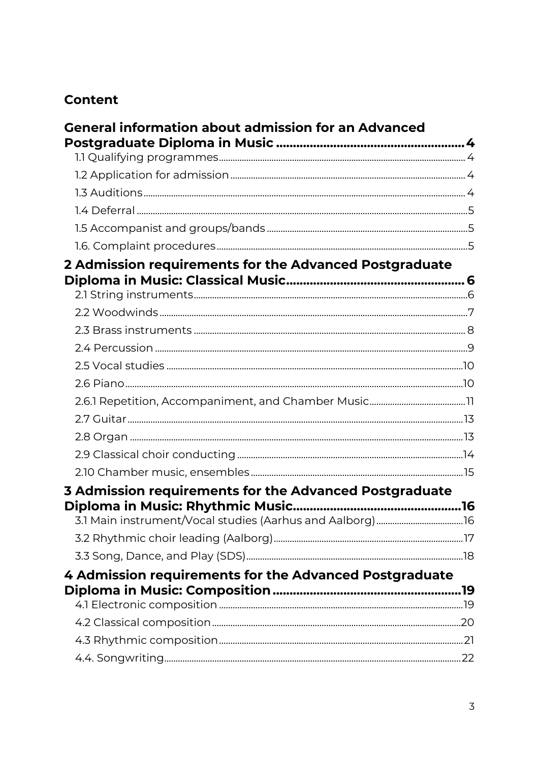## **Content**

| <b>General information about admission for an Advanced</b> |  |
|------------------------------------------------------------|--|
|                                                            |  |
|                                                            |  |
|                                                            |  |
|                                                            |  |
|                                                            |  |
|                                                            |  |
|                                                            |  |
| 2 Admission requirements for the Advanced Postgraduate     |  |
|                                                            |  |
|                                                            |  |
|                                                            |  |
|                                                            |  |
|                                                            |  |
|                                                            |  |
|                                                            |  |
|                                                            |  |
|                                                            |  |
|                                                            |  |
|                                                            |  |
|                                                            |  |
| 3 Admission requirements for the Advanced Postgraduate     |  |
|                                                            |  |
|                                                            |  |
|                                                            |  |
|                                                            |  |
| 4 Admission requirements for the Advanced Postgraduate     |  |
|                                                            |  |
|                                                            |  |
|                                                            |  |
|                                                            |  |
|                                                            |  |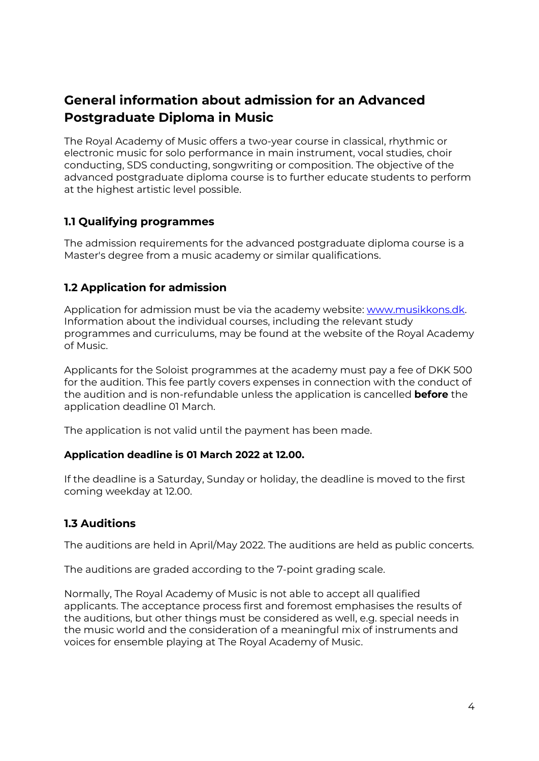## <span id="page-3-0"></span>**General information about admission for an Advanced Postgraduate Diploma in Music**

The Royal Academy of Music offers a two-year course in classical, rhythmic or electronic music for solo performance in main instrument, vocal studies, choir conducting, SDS conducting, songwriting or composition. The objective of the advanced postgraduate diploma course is to further educate students to perform at the highest artistic level possible.

## <span id="page-3-1"></span>**1.1 Qualifying programmes**

The admission requirements for the advanced postgraduate diploma course is a Master's degree from a music academy or similar qualifications.

### <span id="page-3-2"></span>**1.2 Application for admission**

Application for admission must be via the academy website: [www.musikkons.dk.](http://www.musikkons.dk/) Information about the individual courses, including the relevant study programmes and curriculums, may be found at the website of the Royal Academy of Music.

Applicants for the Soloist programmes at the academy must pay a fee of DKK 500 for the audition. This fee partly covers expenses in connection with the conduct of the audition and is non-refundable unless the application is cancelled **before** the application deadline 01 March.

The application is not valid until the payment has been made.

#### **Application deadline is 01 March 2022 at 12.00.**

If the deadline is a Saturday, Sunday or holiday, the deadline is moved to the first coming weekday at 12.00.

## <span id="page-3-3"></span>**1.3 Auditions**

The auditions are held in April/May 2022. The auditions are held as public concerts.

The auditions are graded according to the 7-point grading scale.

Normally, The Royal Academy of Music is not able to accept all qualified applicants. The acceptance process first and foremost emphasises the results of the auditions, but other things must be considered as well, e.g. special needs in the music world and the consideration of a meaningful mix of instruments and voices for ensemble playing at The Royal Academy of Music.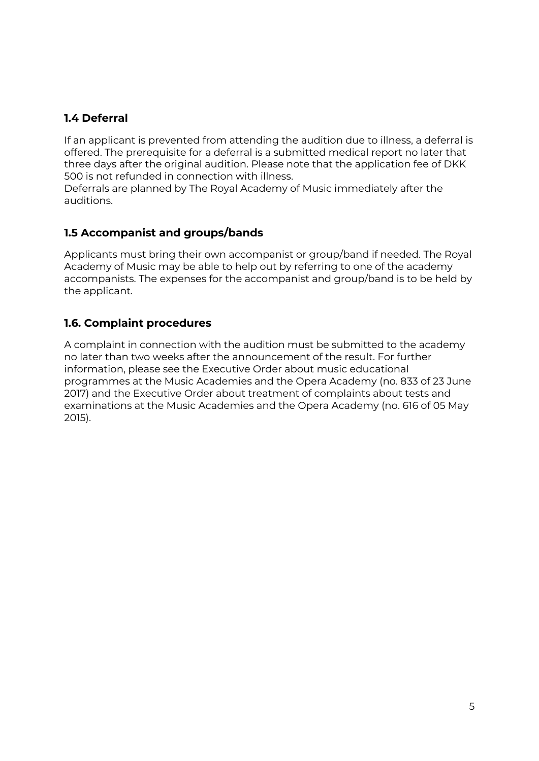## <span id="page-4-0"></span>**1.4 Deferral**

If an applicant is prevented from attending the audition due to illness, a deferral is offered. The prerequisite for a deferral is a submitted medical report no later that three days after the original audition. Please note that the application fee of DKK 500 is not refunded in connection with illness.

Deferrals are planned by The Royal Academy of Music immediately after the auditions.

## <span id="page-4-1"></span>**1.5 Accompanist and groups/bands**

Applicants must bring their own accompanist or group/band if needed. The Royal Academy of Music may be able to help out by referring to one of the academy accompanists. The expenses for the accompanist and group/band is to be held by the applicant.

## <span id="page-4-2"></span>**1.6. Complaint procedures**

A complaint in connection with the audition must be submitted to the academy no later than two weeks after the announcement of the result. For further information, please see the Executive Order about music educational programmes at the Music Academies and the Opera Academy (no. 833 of 23 June 2017) and the Executive Order about treatment of complaints about tests and examinations at the Music Academies and the Opera Academy (no. 616 of 05 May 2015).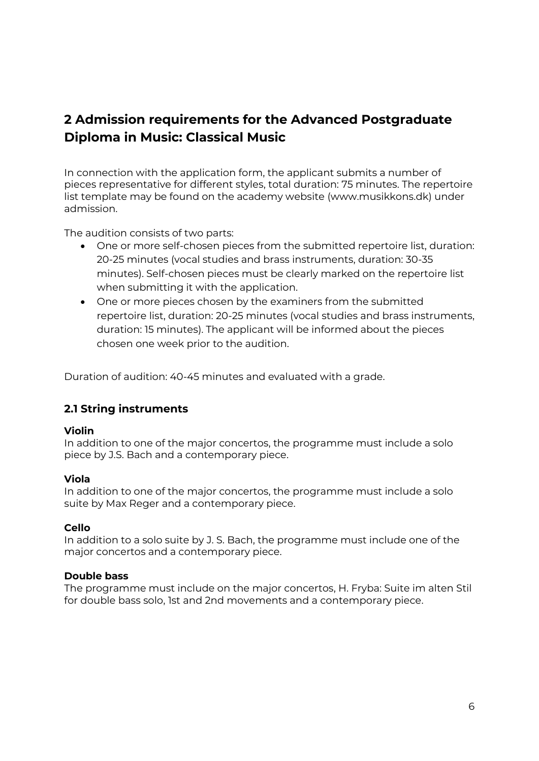## <span id="page-5-0"></span>**2 Admission requirements for the Advanced Postgraduate Diploma in Music: Classical Music**

In connection with the application form, the applicant submits a number of pieces representative for different styles, total duration: 75 minutes. The repertoire list template may be found on the academy website (www.musikkons.dk) under admission.

The audition consists of two parts:

- One or more self-chosen pieces from the submitted repertoire list, duration: 20-25 minutes (vocal studies and brass instruments, duration: 30-35 minutes). Self-chosen pieces must be clearly marked on the repertoire list when submitting it with the application.
- One or more pieces chosen by the examiners from the submitted repertoire list, duration: 20-25 minutes (vocal studies and brass instruments, duration: 15 minutes). The applicant will be informed about the pieces chosen one week prior to the audition.

Duration of audition: 40-45 minutes and evaluated with a grade.

## <span id="page-5-1"></span>**2.1 String instruments**

#### **Violin**

In addition to one of the major concertos, the programme must include a solo piece by J.S. Bach and a contemporary piece.

#### **Viola**

In addition to one of the major concertos, the programme must include a solo suite by Max Reger and a contemporary piece.

#### **Cello**

In addition to a solo suite by J. S. Bach, the programme must include one of the major concertos and a contemporary piece.

#### **Double bass**

The programme must include on the major concertos, H. Fryba: Suite im alten Stil for double bass solo, 1st and 2nd movements and a contemporary piece.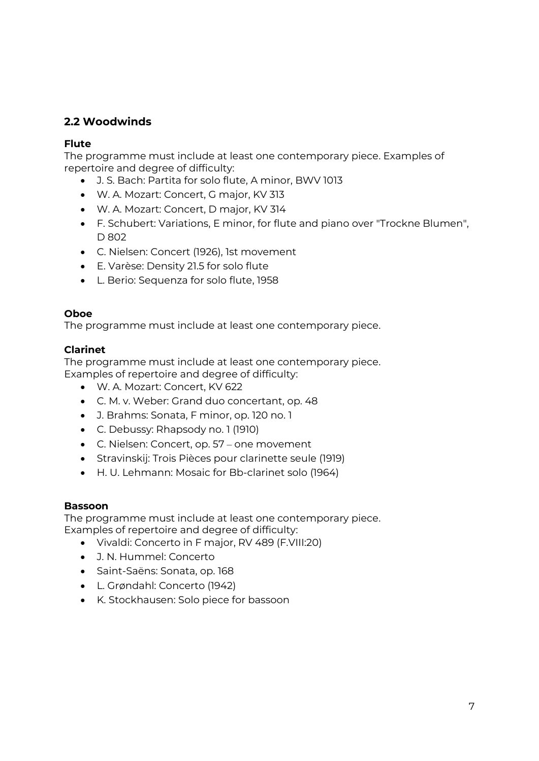## <span id="page-6-0"></span>**2.2 Woodwinds**

#### **Flute**

The programme must include at least one contemporary piece. Examples of repertoire and degree of difficulty:

- J. S. Bach: Partita for solo flute, A minor, BWV 1013
- W. A. Mozart: Concert, G major, KV 313
- W. A. Mozart: Concert, D major, KV 314
- F. Schubert: Variations, E minor, for flute and piano over "Trockne Blumen", D 802
- C. Nielsen: Concert (1926), 1st movement
- E. Varèse: Density 21.5 for solo flute
- L. Berio: Sequenza for solo flute, 1958

#### **Oboe**

The programme must include at least one contemporary piece.

#### **Clarinet**

The programme must include at least one contemporary piece. Examples of repertoire and degree of difficulty:

- W. A. Mozart: Concert, KV 622
- C. M. v. Weber: Grand duo concertant, op. 48
- J. Brahms: Sonata, F minor, op. 120 no. 1
- C. Debussy: Rhapsody no. 1 (1910)
- C. Nielsen: Concert, op. 57 one movement
- Stravinskij: Trois Pièces pour clarinette seule (1919)
- H. U. Lehmann: Mosaic for Bb-clarinet solo (1964)

#### **Bassoon**

The programme must include at least one contemporary piece. Examples of repertoire and degree of difficulty:

- Vivaldi: Concerto in F major, RV 489 (F.VIII:20)
- J. N. Hummel: Concerto
- Saint-Saëns: Sonata, op. 168
- L. Grøndahl: Concerto (1942)
- K. Stockhausen: Solo piece for bassoon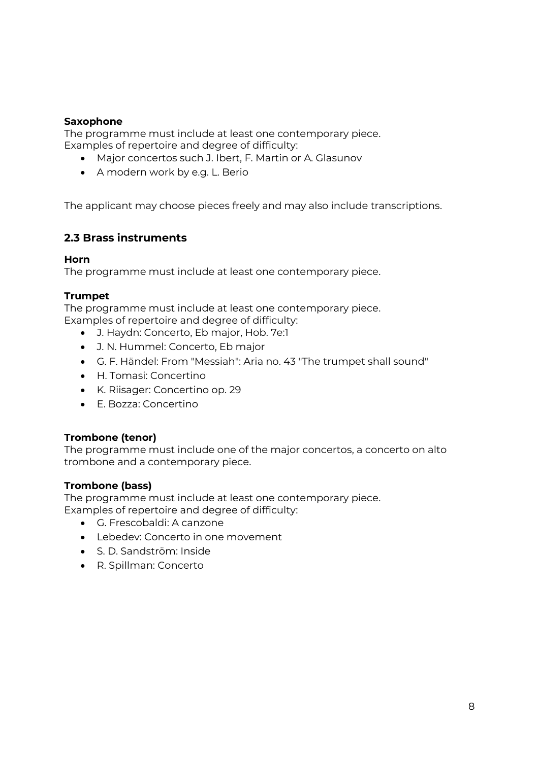#### **Saxophone**

The programme must include at least one contemporary piece. Examples of repertoire and degree of difficulty:

- Major concertos such J. Ibert, F. Martin or A. Glasunov
- A modern work by e.g. L. Berio

The applicant may choose pieces freely and may also include transcriptions.

### <span id="page-7-0"></span>**2.3 Brass instruments**

#### **Horn**

The programme must include at least one contemporary piece.

#### **Trumpet**

The programme must include at least one contemporary piece. Examples of repertoire and degree of difficulty:

- J. Haydn: Concerto, Eb major, Hob. 7e:1
- J. N. Hummel: Concerto, Eb major
- G. F. Händel: From "Messiah": Aria no. 43 "The trumpet shall sound"
- H. Tomasi: Concertino
- K. Riisager: Concertino op. 29
- E. Bozza: Concertino

#### **Trombone (tenor)**

The programme must include one of the major concertos, a concerto on alto trombone and a contemporary piece.

#### **Trombone (bass)**

The programme must include at least one contemporary piece. Examples of repertoire and degree of difficulty:

- G. Frescobaldi: A canzone
- Lebedev: Concerto in one movement
- S. D. Sandström: Inside
- R. Spillman: Concerto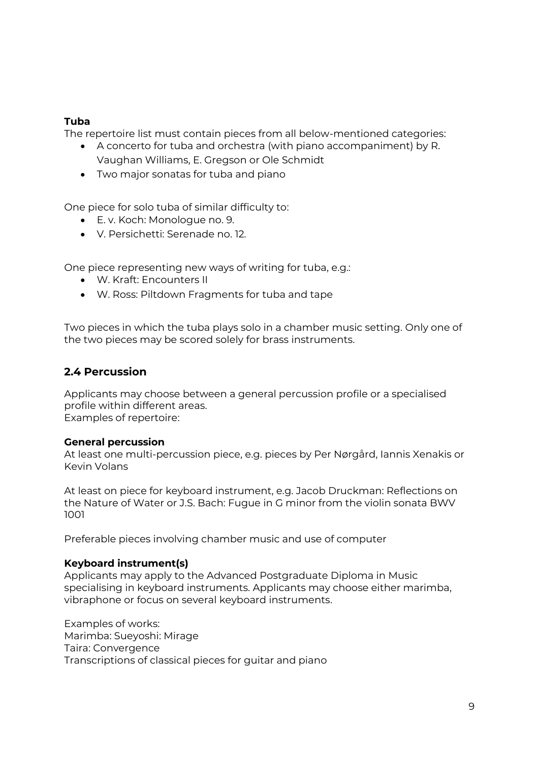#### **Tuba**

The repertoire list must contain pieces from all below-mentioned categories:

- A concerto for tuba and orchestra (with piano accompaniment) by R. Vaughan Williams, E. Gregson or Ole Schmidt
- Two major sonatas for tuba and piano

One piece for solo tuba of similar difficulty to:

- E. v. Koch: Monologue no. 9.
- V. Persichetti: Serenade no. 12.

One piece representing new ways of writing for tuba, e.g.:

- W. Kraft: Encounters II
- W. Ross: Piltdown Fragments for tuba and tape

Two pieces in which the tuba plays solo in a chamber music setting. Only one of the two pieces may be scored solely for brass instruments.

## <span id="page-8-0"></span>**2.4 Percussion**

Applicants may choose between a general percussion profile or a specialised profile within different areas. Examples of repertoire:

#### **General percussion**

At least one multi-percussion piece, e.g. pieces by Per Nørgård, Iannis Xenakis or Kevin Volans

At least on piece for keyboard instrument, e.g. Jacob Druckman: Reflections on the Nature of Water or J.S. Bach: Fugue in G minor from the violin sonata BWV 1001

Preferable pieces involving chamber music and use of computer

#### **Keyboard instrument(s)**

Applicants may apply to the Advanced Postgraduate Diploma in Music specialising in keyboard instruments. Applicants may choose either marimba, vibraphone or focus on several keyboard instruments.

Examples of works: Marimba: Sueyoshi: Mirage Taira: Convergence Transcriptions of classical pieces for guitar and piano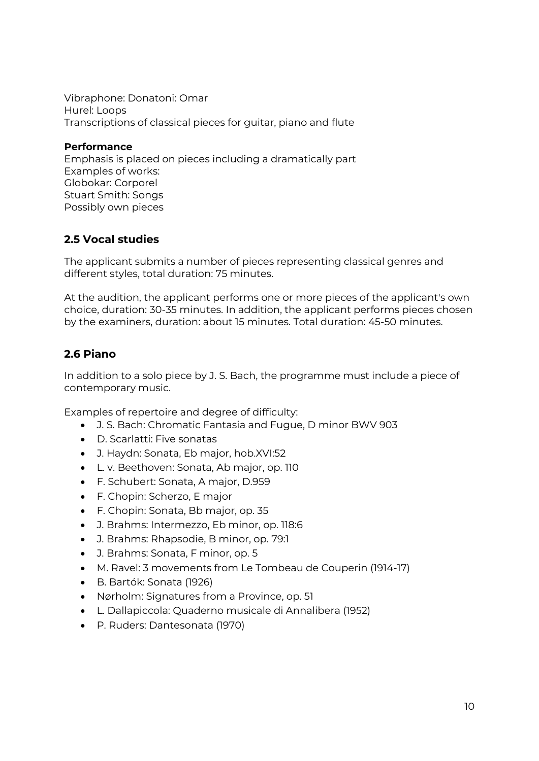Vibraphone: Donatoni: Omar Hurel: Loops Transcriptions of classical pieces for guitar, piano and flute

#### **Performance**

Emphasis is placed on pieces including a dramatically part Examples of works: Globokar: Corporel Stuart Smith: Songs Possibly own pieces

## <span id="page-9-0"></span>**2.5 Vocal studies**

The applicant submits a number of pieces representing classical genres and different styles, total duration: 75 minutes.

At the audition, the applicant performs one or more pieces of the applicant's own choice, duration: 30-35 minutes. In addition, the applicant performs pieces chosen by the examiners, duration: about 15 minutes. Total duration: 45-50 minutes.

## <span id="page-9-1"></span>**2.6 Piano**

In addition to a solo piece by J. S. Bach, the programme must include a piece of contemporary music.

Examples of repertoire and degree of difficulty:

- J. S. Bach: Chromatic Fantasia and Fugue, D minor BWV 903
- D. Scarlatti: Five sonatas
- J. Haydn: Sonata, Eb major, hob.XVI:52
- L. v. Beethoven: Sonata, Ab major, op. 110
- F. Schubert: Sonata, A major, D.959
- F. Chopin: Scherzo, E major
- F. Chopin: Sonata, Bb major, op. 35
- J. Brahms: Intermezzo, Eb minor, op. 118:6
- J. Brahms: Rhapsodie, B minor, op. 79:1
- J. Brahms: Sonata, F minor, op. 5
- M. Ravel: 3 movements from Le Tombeau de Couperin (1914-17)
- B. Bartók: Sonata (1926)
- Nørholm: Signatures from a Province, op. 51
- L. Dallapiccola: Quaderno musicale di Annalibera (1952)
- P. Ruders: Dantesonata (1970)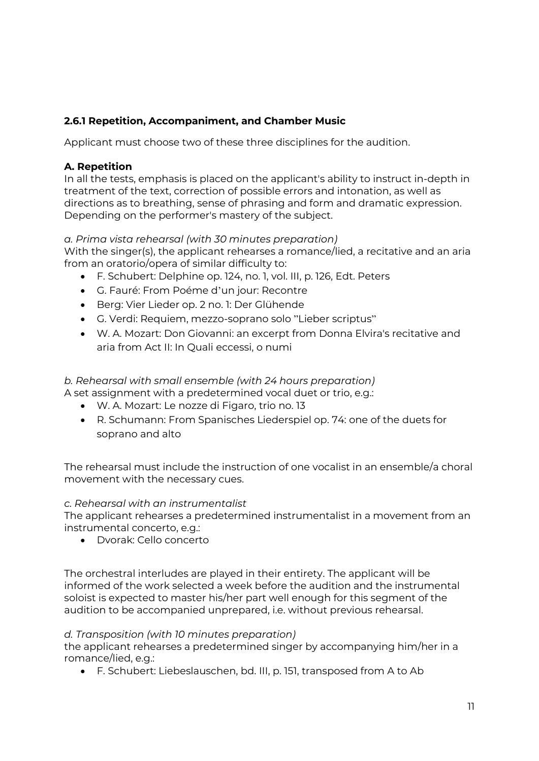## <span id="page-10-0"></span>**2.6.1 Repetition, Accompaniment, and Chamber Music**

Applicant must choose two of these three disciplines for the audition.

#### **A. Repetition**

In all the tests, emphasis is placed on the applicant's ability to instruct in-depth in treatment of the text, correction of possible errors and intonation, as well as directions as to breathing, sense of phrasing and form and dramatic expression. Depending on the performer's mastery of the subject.

#### *a. Prima vista rehearsal (with 30 minutes preparation)*

With the singer(s), the applicant rehearses a romance/lied, a recitative and an aria from an oratorio/opera of similar difficulty to:

- F. Schubert: Delphine op. 124, no. 1, vol. III, p. 126, Edt. Peters
- G. Fauré: From Poéme d'un jour: Recontre
- Berg: Vier Lieder op. 2 no. 1: Der Glühende
- G. Verdi: Requiem, mezzo-soprano solo "Lieber scriptus"
- W. A. Mozart: Don Giovanni: an excerpt from Donna Elvira's recitative and aria from Act II: In Quali eccessi, o numi

#### *b. Rehearsal with small ensemble (with 24 hours preparation)*

- A set assignment with a predetermined vocal duet or trio, e.g.:
	- W. A. Mozart: Le nozze di Figaro, trio no. 13
	- R. Schumann: From Spanisches Liederspiel op. 74: one of the duets for soprano and alto

The rehearsal must include the instruction of one vocalist in an ensemble/a choral movement with the necessary cues.

#### *c. Rehearsal with an instrumentalist*

The applicant rehearses a predetermined instrumentalist in a movement from an instrumental concerto, e.g.:

Dvorak: Cello concerto

The orchestral interludes are played in their entirety. The applicant will be informed of the work selected a week before the audition and the instrumental soloist is expected to master his/her part well enough for this segment of the audition to be accompanied unprepared, i.e. without previous rehearsal.

#### *d. Transposition (with 10 minutes preparation)*

the applicant rehearses a predetermined singer by accompanying him/her in a romance/lied, e.g.:

F. Schubert: Liebeslauschen, bd. III, p. 151, transposed from A to Ab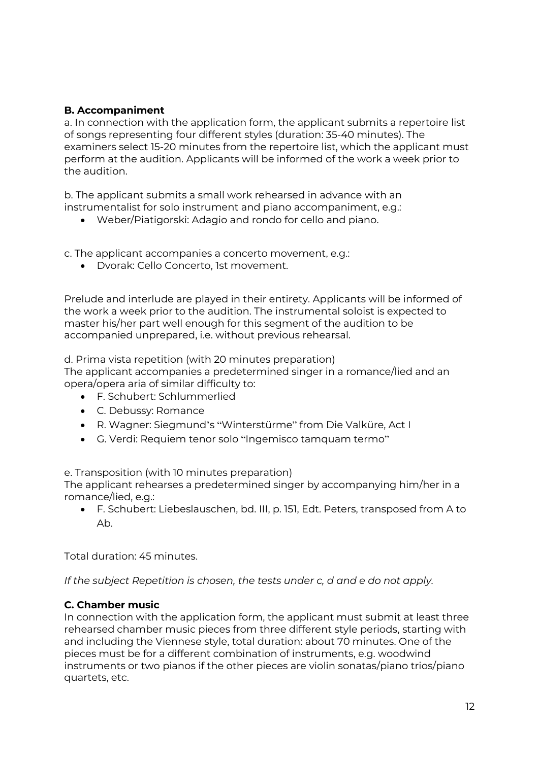#### **B. Accompaniment**

a. In connection with the application form, the applicant submits a repertoire list of songs representing four different styles (duration: 35-40 minutes). The examiners select 15-20 minutes from the repertoire list, which the applicant must perform at the audition. Applicants will be informed of the work a week prior to the audition.

b. The applicant submits a small work rehearsed in advance with an instrumentalist for solo instrument and piano accompaniment, e.g.:

Weber/Piatigorski: Adagio and rondo for cello and piano.

c. The applicant accompanies a concerto movement, e.g.:

Dvorak: Cello Concerto, 1st movement.

Prelude and interlude are played in their entirety. Applicants will be informed of the work a week prior to the audition. The instrumental soloist is expected to master his/her part well enough for this segment of the audition to be accompanied unprepared, i.e. without previous rehearsal.

d. Prima vista repetition (with 20 minutes preparation)

The applicant accompanies a predetermined singer in a romance/lied and an opera/opera aria of similar difficulty to:

- F. Schubert: Schlummerlied
- C. Debussy: Romance
- R. Wagner: Siegmund's "Winterstürme" from Die Valküre, Act I
- G. Verdi: Requiem tenor solo "Ingemisco tamquam termo"

e. Transposition (with 10 minutes preparation)

The applicant rehearses a predetermined singer by accompanying him/her in a romance/lied, e.g.:

 F. Schubert: Liebeslauschen, bd. III, p. 151, Edt. Peters, transposed from A to Ab.

Total duration: 45 minutes.

*If the subject Repetition is chosen, the tests under c, d and e do not apply.*

#### **C. Chamber music**

In connection with the application form, the applicant must submit at least three rehearsed chamber music pieces from three different style periods, starting with and including the Viennese style, total duration: about 70 minutes. One of the pieces must be for a different combination of instruments, e.g. woodwind instruments or two pianos if the other pieces are violin sonatas/piano trios/piano quartets, etc.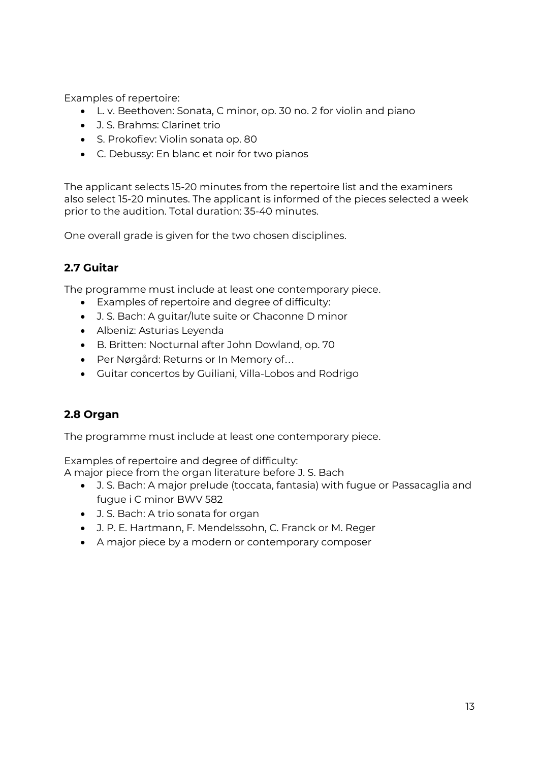Examples of repertoire:

- L. v. Beethoven: Sonata, C minor, op. 30 no. 2 for violin and piano
- J. S. Brahms: Clarinet trio
- S. Prokofiev: Violin sonata op. 80
- C. Debussy: En blanc et noir for two pianos

The applicant selects 15-20 minutes from the repertoire list and the examiners also select 15-20 minutes. The applicant is informed of the pieces selected a week prior to the audition. Total duration: 35-40 minutes.

One overall grade is given for the two chosen disciplines.

## <span id="page-12-0"></span>**2.7 Guitar**

The programme must include at least one contemporary piece.

- Examples of repertoire and degree of difficulty:
- J. S. Bach: A guitar/lute suite or Chaconne D minor
- Albeniz: Asturias Leyenda
- B. Britten: Nocturnal after John Dowland, op. 70
- Per Nørgård: Returns or In Memory of…
- Guitar concertos by Guiliani, Villa-Lobos and Rodrigo

## <span id="page-12-1"></span>**2.8 Organ**

The programme must include at least one contemporary piece.

Examples of repertoire and degree of difficulty:

A major piece from the organ literature before J. S. Bach

- J. S. Bach: A major prelude (toccata, fantasia) with fugue or Passacaglia and fugue i C minor BWV 582
- J. S. Bach: A trio sonata for organ
- J. P. E. Hartmann, F. Mendelssohn, C. Franck or M. Reger
- A major piece by a modern or contemporary composer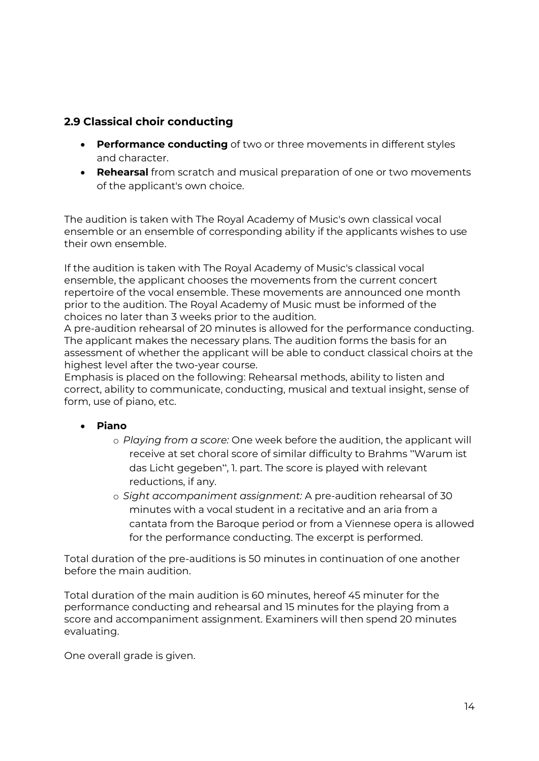## <span id="page-13-0"></span>**2.9 Classical choir conducting**

- **Performance conducting** of two or three movements in different styles and character.
- **Rehearsal** from scratch and musical preparation of one or two movements of the applicant's own choice.

The audition is taken with The Royal Academy of Music's own classical vocal ensemble or an ensemble of corresponding ability if the applicants wishes to use their own ensemble.

If the audition is taken with The Royal Academy of Music's classical vocal ensemble, the applicant chooses the movements from the current concert repertoire of the vocal ensemble. These movements are announced one month prior to the audition. The Royal Academy of Music must be informed of the choices no later than 3 weeks prior to the audition.

A pre-audition rehearsal of 20 minutes is allowed for the performance conducting. The applicant makes the necessary plans. The audition forms the basis for an assessment of whether the applicant will be able to conduct classical choirs at the highest level after the two-year course.

Emphasis is placed on the following: Rehearsal methods, ability to listen and correct, ability to communicate, conducting, musical and textual insight, sense of form, use of piano, etc.

#### **Piano**

- o *Playing from a score:* One week before the audition, the applicant will receive at set choral score of similar difficulty to Brahms "Warum ist das Licht gegeben", 1. part. The score is played with relevant reductions, if any.
- o *Sight accompaniment assignment:* A pre-audition rehearsal of 30 minutes with a vocal student in a recitative and an aria from a cantata from the Baroque period or from a Viennese opera is allowed for the performance conducting. The excerpt is performed.

Total duration of the pre-auditions is 50 minutes in continuation of one another before the main audition.

Total duration of the main audition is 60 minutes, hereof 45 minuter for the performance conducting and rehearsal and 15 minutes for the playing from a score and accompaniment assignment. Examiners will then spend 20 minutes evaluating.

One overall grade is given.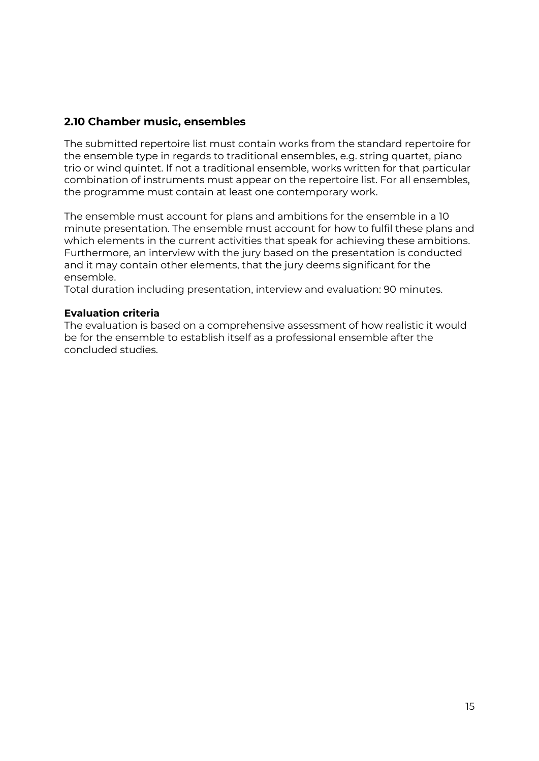### <span id="page-14-0"></span>**2.10 Chamber music, ensembles**

The submitted repertoire list must contain works from the standard repertoire for the ensemble type in regards to traditional ensembles, e.g. string quartet, piano trio or wind quintet. If not a traditional ensemble, works written for that particular combination of instruments must appear on the repertoire list. For all ensembles, the programme must contain at least one contemporary work.

The ensemble must account for plans and ambitions for the ensemble in a 10 minute presentation. The ensemble must account for how to fulfil these plans and which elements in the current activities that speak for achieving these ambitions. Furthermore, an interview with the jury based on the presentation is conducted and it may contain other elements, that the jury deems significant for the ensemble.

Total duration including presentation, interview and evaluation: 90 minutes.

#### **Evaluation criteria**

The evaluation is based on a comprehensive assessment of how realistic it would be for the ensemble to establish itself as a professional ensemble after the concluded studies.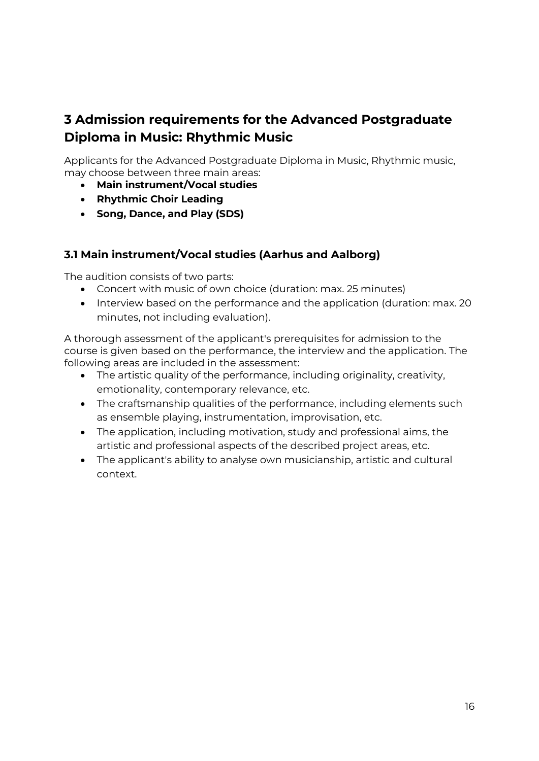## <span id="page-15-0"></span>**3 Admission requirements for the Advanced Postgraduate Diploma in Music: Rhythmic Music**

Applicants for the Advanced Postgraduate Diploma in Music, Rhythmic music, may choose between three main areas:

- **Main instrument/Vocal studies**
- **Rhythmic Choir Leading**
- **Song, Dance, and Play (SDS)**

### <span id="page-15-1"></span>**3.1 Main instrument/Vocal studies (Aarhus and Aalborg)**

The audition consists of two parts:

- Concert with music of own choice (duration: max. 25 minutes)
- Interview based on the performance and the application (duration: max. 20 minutes, not including evaluation).

A thorough assessment of the applicant's prerequisites for admission to the course is given based on the performance, the interview and the application. The following areas are included in the assessment:

- The artistic quality of the performance, including originality, creativity, emotionality, contemporary relevance, etc.
- The craftsmanship qualities of the performance, including elements such as ensemble playing, instrumentation, improvisation, etc.
- The application, including motivation, study and professional aims, the artistic and professional aspects of the described project areas, etc.
- The applicant's ability to analyse own musicianship, artistic and cultural context.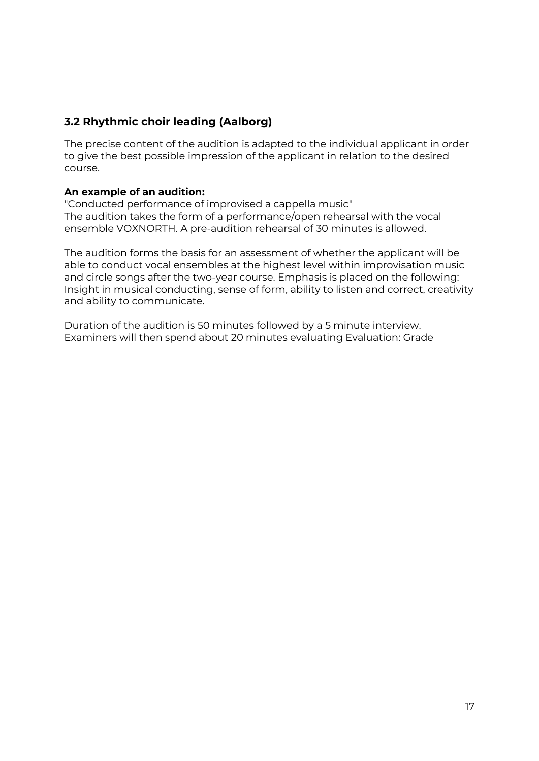## <span id="page-16-0"></span>**3.2 Rhythmic choir leading (Aalborg)**

The precise content of the audition is adapted to the individual applicant in order to give the best possible impression of the applicant in relation to the desired course.

#### **An example of an audition:**

"Conducted performance of improvised a cappella music" The audition takes the form of a performance/open rehearsal with the vocal ensemble VOXNORTH. A pre-audition rehearsal of 30 minutes is allowed.

The audition forms the basis for an assessment of whether the applicant will be able to conduct vocal ensembles at the highest level within improvisation music and circle songs after the two-year course. Emphasis is placed on the following: Insight in musical conducting, sense of form, ability to listen and correct, creativity and ability to communicate.

Duration of the audition is 50 minutes followed by a 5 minute interview. Examiners will then spend about 20 minutes evaluating Evaluation: Grade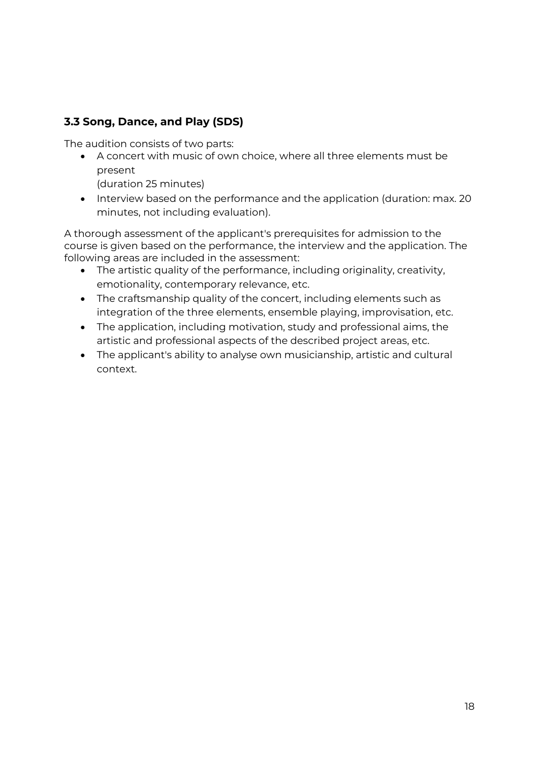## <span id="page-17-0"></span>**3.3 Song, Dance, and Play (SDS)**

The audition consists of two parts:

 A concert with music of own choice, where all three elements must be present

(duration 25 minutes)

• Interview based on the performance and the application (duration: max. 20 minutes, not including evaluation).

A thorough assessment of the applicant's prerequisites for admission to the course is given based on the performance, the interview and the application. The following areas are included in the assessment:

- The artistic quality of the performance, including originality, creativity, emotionality, contemporary relevance, etc.
- The craftsmanship quality of the concert, including elements such as integration of the three elements, ensemble playing, improvisation, etc.
- The application, including motivation, study and professional aims, the artistic and professional aspects of the described project areas, etc.
- The applicant's ability to analyse own musicianship, artistic and cultural context.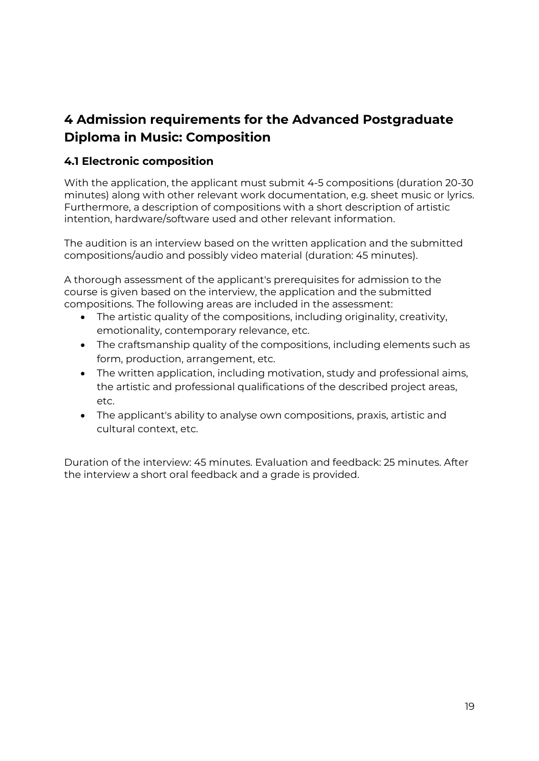## <span id="page-18-0"></span>**4 Admission requirements for the Advanced Postgraduate Diploma in Music: Composition**

## <span id="page-18-1"></span>**4.1 Electronic composition**

With the application, the applicant must submit 4-5 compositions (duration 20-30 minutes) along with other relevant work documentation, e.g. sheet music or lyrics. Furthermore, a description of compositions with a short description of artistic intention, hardware/software used and other relevant information.

The audition is an interview based on the written application and the submitted compositions/audio and possibly video material (duration: 45 minutes).

A thorough assessment of the applicant's prerequisites for admission to the course is given based on the interview, the application and the submitted compositions. The following areas are included in the assessment:

- The artistic quality of the compositions, including originality, creativity, emotionality, contemporary relevance, etc.
- The craftsmanship quality of the compositions, including elements such as form, production, arrangement, etc.
- The written application, including motivation, study and professional aims, the artistic and professional qualifications of the described project areas, etc.
- The applicant's ability to analyse own compositions, praxis, artistic and cultural context, etc.

Duration of the interview: 45 minutes. Evaluation and feedback: 25 minutes. After the interview a short oral feedback and a grade is provided.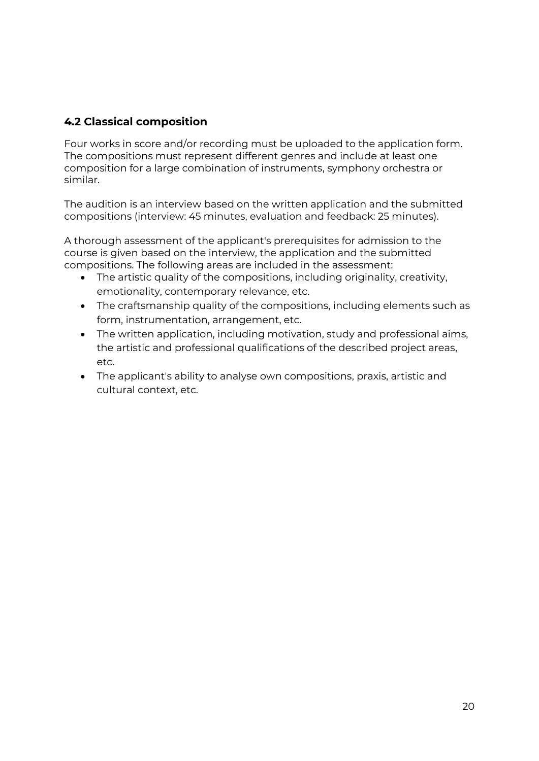## <span id="page-19-0"></span>**4.2 Classical composition**

Four works in score and/or recording must be uploaded to the application form. The compositions must represent different genres and include at least one composition for a large combination of instruments, symphony orchestra or similar.

The audition is an interview based on the written application and the submitted compositions (interview: 45 minutes, evaluation and feedback: 25 minutes).

A thorough assessment of the applicant's prerequisites for admission to the course is given based on the interview, the application and the submitted compositions. The following areas are included in the assessment:

- The artistic quality of the compositions, including originality, creativity, emotionality, contemporary relevance, etc.
- The craftsmanship quality of the compositions, including elements such as form, instrumentation, arrangement, etc.
- The written application, including motivation, study and professional aims, the artistic and professional qualifications of the described project areas, etc.
- The applicant's ability to analyse own compositions, praxis, artistic and cultural context, etc.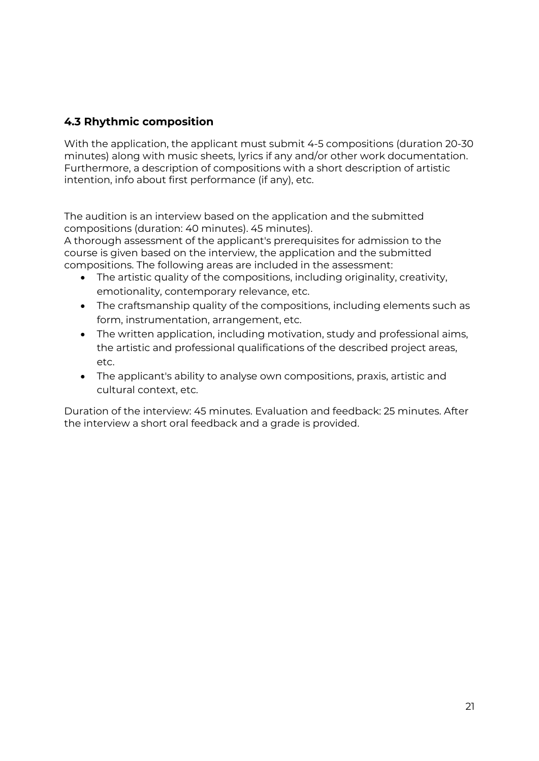## <span id="page-20-0"></span>**4.3 Rhythmic composition**

With the application, the applicant must submit 4-5 compositions (duration 20-30 minutes) along with music sheets, lyrics if any and/or other work documentation. Furthermore, a description of compositions with a short description of artistic intention, info about first performance (if any), etc.

The audition is an interview based on the application and the submitted compositions (duration: 40 minutes). 45 minutes).

A thorough assessment of the applicant's prerequisites for admission to the course is given based on the interview, the application and the submitted compositions. The following areas are included in the assessment:

- The artistic quality of the compositions, including originality, creativity, emotionality, contemporary relevance, etc.
- The craftsmanship quality of the compositions, including elements such as form, instrumentation, arrangement, etc.
- The written application, including motivation, study and professional aims, the artistic and professional qualifications of the described project areas, etc.
- The applicant's ability to analyse own compositions, praxis, artistic and cultural context, etc.

Duration of the interview: 45 minutes. Evaluation and feedback: 25 minutes. After the interview a short oral feedback and a grade is provided.